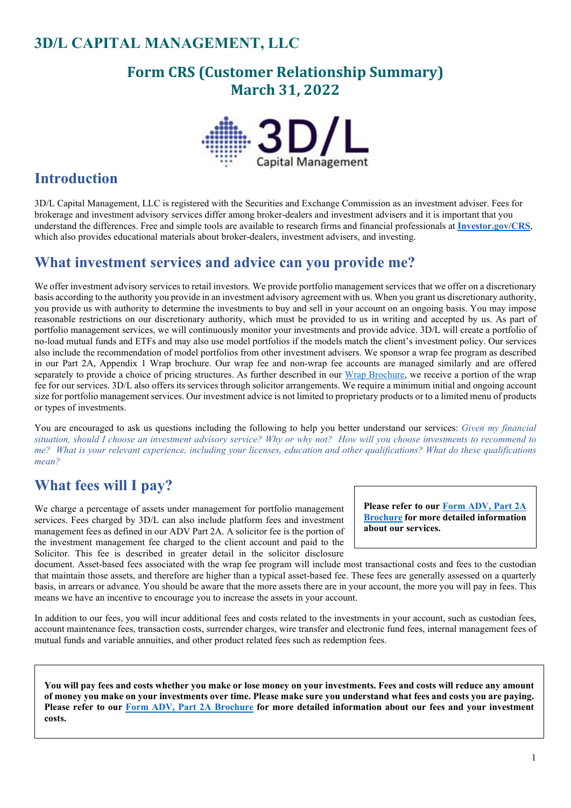## **3D/L CAPITAL MANAGEMENT, LLC**

### **Form CRS (Customer Relationship Summary) March 31, 2022**



### **Introduction**

3D/L Capital Management, LLC is registered with the Securities and Exchange Commission as an investment adviser. Fees for brokerage and investment advisory services differ among broker-dealers and investment advisers and it is important that you understand the differences. Free and simple tools are available to research firms and financial professionals at **[Investor.gov/CRS](https://www.investor.gov/CRS)**, which also provides educational materials about broker-dealers, investment advisers, and investing.

#### **What investment services and advice can you provide me?**

We offer investment advisory services to retail investors. We provide portfolio management services that we offer on a discretionary basis according to the authority you provide in an investment advisory agreement with us. When you grant us discretionary authority, you provide us with authority to determine the investments to buy and sell in your account on an ongoing basis. You may impose reasonable restrictions on our discretionary authority, which must be provided to us in writing and accepted by us. As part of portfolio management services, we will continuously monitor your investments and provide advice. 3D/L will create a portfolio of no-load mutual funds and ETFs and may also use model portfolios if the models match the client's investment policy. Our services also include the recommendation of model portfolios from other investment advisers. We sponsor a wrap fee program as described in our Part 2A, Appendix 1 Wrap brochure. Our wrap fee and non-wrap fee accounts are managed similarly and are offered separately to provide a choice of pricing structures. As further described in our [Wrap Brochure,](https://adviserinfo.sec.gov/firm/summary/283304) we receive a portion of the wrap fee for our services. 3D/L also offers its services through solicitor arrangements. We require a minimum initial and ongoing account size for portfolio management services. Our investment advice is not limited to proprietary products or to a limited menu of products or types of investments.

You are encouraged to ask us questions including the following to help you better understand our services: *Given my financial situation, should I choose an investment advisory service? Why or why not? How will you choose investments to recommend to me? What is your relevant experience, including your licenses, education and other qualifications? What do these qualifications mean?*

### **What fees will I pay?**

We charge a percentage of assets under management for portfolio management services. Fees charged by 3D/L can also include platform fees and investment management fees as defined in our ADV Part 2A. A solicitor fee is the portion of the investment management fee charged to the client account and paid to the Solicitor. This fee is described in greater detail in the solicitor disclosure

**Please refer to our [Form ADV, Part 2A](https://adviserinfo.sec.gov/firm/summary/283304)  [Brochure](https://adviserinfo.sec.gov/firm/summary/283304) for more detailed information about our services.**

document. Asset-based fees associated with the wrap fee program will include most transactional costs and fees to the custodian that maintain those assets, and therefore are higher than a typical asset-based fee. These fees are generally assessed on a quarterly basis, in arrears or advance. You should be aware that the more assets there are in your account, the more you will pay in fees. This means we have an incentive to encourage you to increase the assets in your account.

In addition to our fees, you will incur additional fees and costs related to the investments in your account, such as custodian fees, account maintenance fees, transaction costs, surrender charges, wire transfer and electronic fund fees, internal management fees of mutual funds and variable annuities, and other product related fees such as redemption fees.

**You will pay fees and costs whether you make or lose money on your investments. Fees and costs will reduce any amount of money you make on your investments over time. Please make sure you understand what fees and costs you are paying. Please refer to our [Form ADV, Part 2A Brochure](https://adviserinfo.sec.gov/firm/summary/283304) for more detailed information about our fees and your investment costs.**